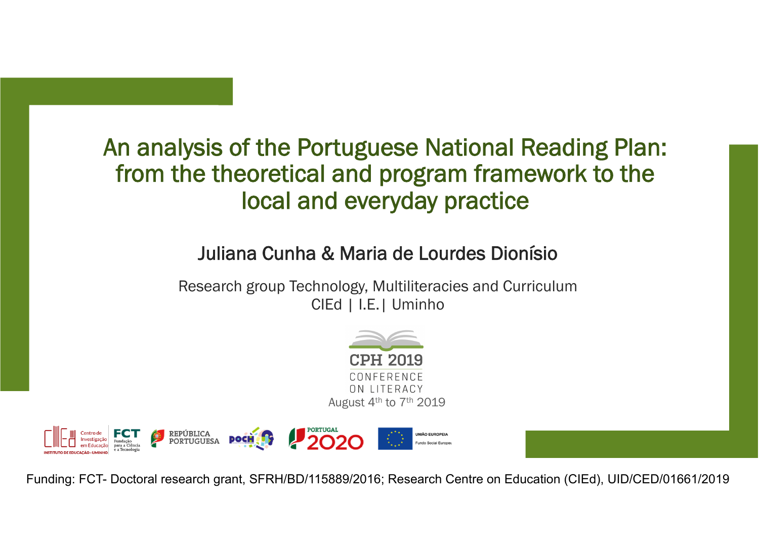## An analysis of the Portuguese National Reading Plan: from the theoretical and program framework to the local and everyday practice

## Juliana Cunha & Maria de Lourdes Dionísio

Research group Technology, Multiliteracies and Curriculum CIEd | I.E.| Uminho





Funding: FCT- Doctoral research grant, SFRH/BD/115889/2016; Research Centre on Education (CIEd), UID/CED/01661/2019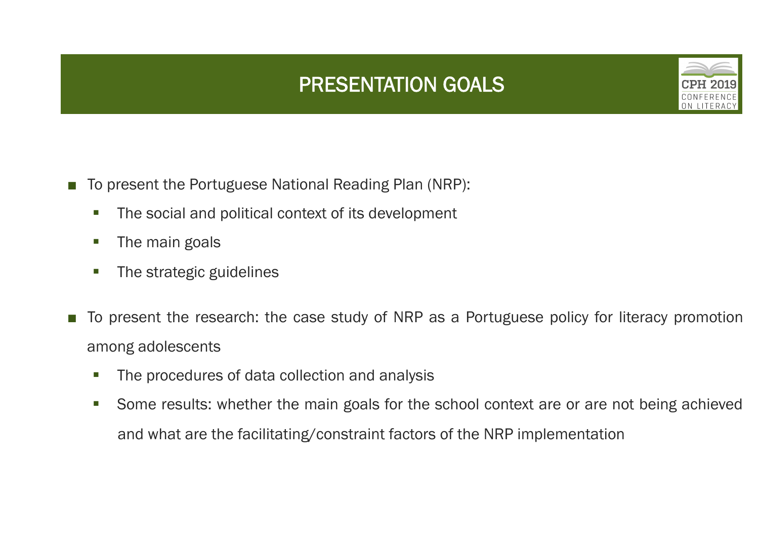## PRESENTATION GOALS



- To present the Portuguese National Reading Plan (NRP):
	- The social and political context of its development
	- The main goals
	- The strategic guidelines
- To present the research: the case study of NRP as a Portuguese policy for literacy promotion among adolescents
	- The procedures of data collection and analysis
	- Some results: whether the main goals for the school context are or are not being achieved and what are the facilitating/constraint factors of the NRP implementation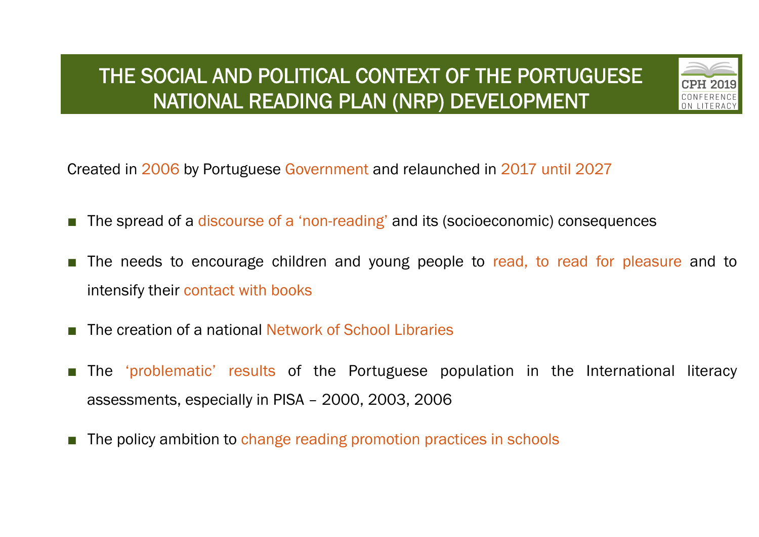## THE SOCIAL AND POLITICAL CONTEXT OF THE PORTUGUESE NATIONAL READING PLAN (NRP) DEVELOPMENT



Created in 2006 by Portuguese Government and relaunched in 2017 until 2027

- The spread of a discourse of a 'non-reading' and its (socioeconomic) consequences
- The needs to encourage children and young people to read, to read for pleasure and to intensify their contact with books
- The creation of a national Network of School Libraries
- The 'problematic' results of the Portuguese population in the International literacy assessments, especially in PISA – 2000, 2003, 2006
- The policy ambition to change reading promotion practices in schools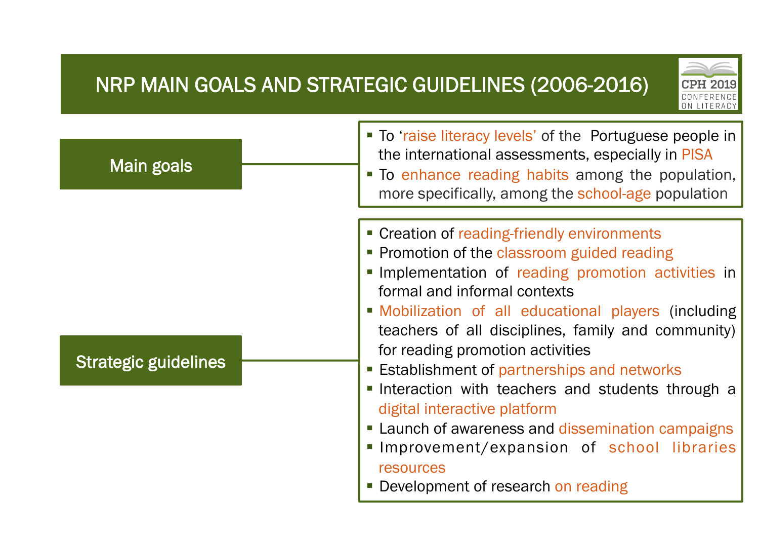## NRP MAIN GOALS AND STRATEGIC GUIDELINES (2006-2016)



| <b>Main goals</b>           | • To 'raise literacy levels' of the Portuguese people in<br>the international assessments, especially in PISA<br>" To enhance reading habits among the population,<br>more specifically, among the school-age population                                                                                                                                                                                                                                                                                                                                                                                                          |
|-----------------------------|-----------------------------------------------------------------------------------------------------------------------------------------------------------------------------------------------------------------------------------------------------------------------------------------------------------------------------------------------------------------------------------------------------------------------------------------------------------------------------------------------------------------------------------------------------------------------------------------------------------------------------------|
| <b>Strategic guidelines</b> | • Creation of reading-friendly environments<br>• Promotion of the classroom guided reading<br>Implementation of reading promotion activities in<br>formal and informal contexts<br>• Mobilization of all educational players (including<br>teachers of all disciplines, family and community)<br>for reading promotion activities<br><b>Establishment of partnerships and networks</b><br>Interaction with teachers and students through a<br>digital interactive platform<br>• Launch of awareness and dissemination campaigns<br>Improvement/expansion of school libraries<br>resources<br>• Development of research on reading |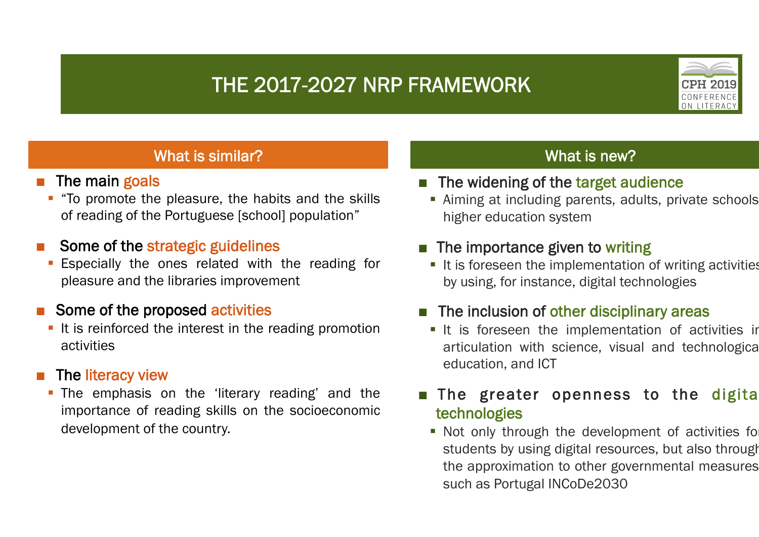## THE 2017-2027 NRP FRAMEWORK



#### What is similar?

- The main goals
	- "To promote the pleasure, the habits and the skills of reading of the Portuguese [school] population"

#### Some of the strategic guidelines

Especially the ones related with the reading for pleasure and the libraries improvement

#### Some of the proposed activities

■ It is reinforced the interest in the reading promotion activities

#### The literacy view

• The emphasis on the 'literary reading' and the importance of reading skills on the socioeconomic development of the country.

#### What is new?

- The widening of the target audience
	- Aiming at including parents, adults, private schools higher education system

#### The importance given to writing

■ It is foreseen the implementation of writing activities by using, for instance, digital technologies

#### The inclusion of other disciplinary areas

**•** It is foreseen the implementation of activities in articulation with science, visual and technological education, and ICT

#### The greater openness to the digital technologies

• Not only through the development of activities for students by using digital resources, but also through the approximation to other governmental measures such as Portugal INCoDe2030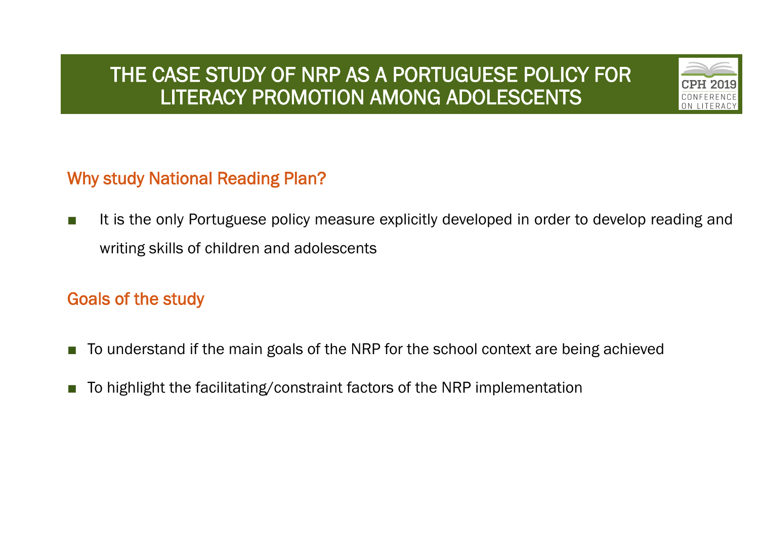## THE CASE STUDY OF NRP AS A PORTUGUESE POLICY FOR LITERACY PROMOTION AMONG ADOLESCENTS



## Why study National Reading Plan?

■ It is the only Portuguese policy measure explicitly developed in order to develop reading and writing skills of children and adolescents

### Goals of the study

- To understand if the main goals of the NRP for the school context are being achieved
- To highlight the facilitating/constraint factors of the NRP implementation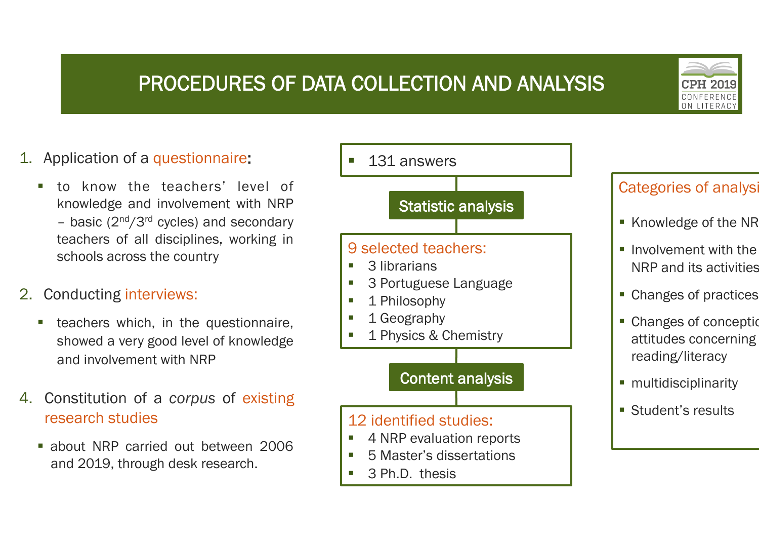## PROCEDURES OF DATA COLLECTION AND ANALYSIS



## 1. Application of a questionnaire:

§ to know the teachers' level of knowledge and involvement with NRP – basic  $(2^{nd}/3^{rd}$  cycles) and secondary teachers of all disciplines, working in schools across the country

#### 2. Conducting interviews:

- teachers which, in the questionnaire, showed a very good level of knowledge and involvement with NRP
- 4. Constitution of a *corpus* of existing research studies
	- § about NRP carried out between 2006 and 2019, through desk research.



## Categories of analysi

- Knowledge of the NR
- **Involvement with the** NRP and its activities
- Changes of practices
- Changes of conception attitudes concerning reading/literacy
- multidisciplinarity
- Student's results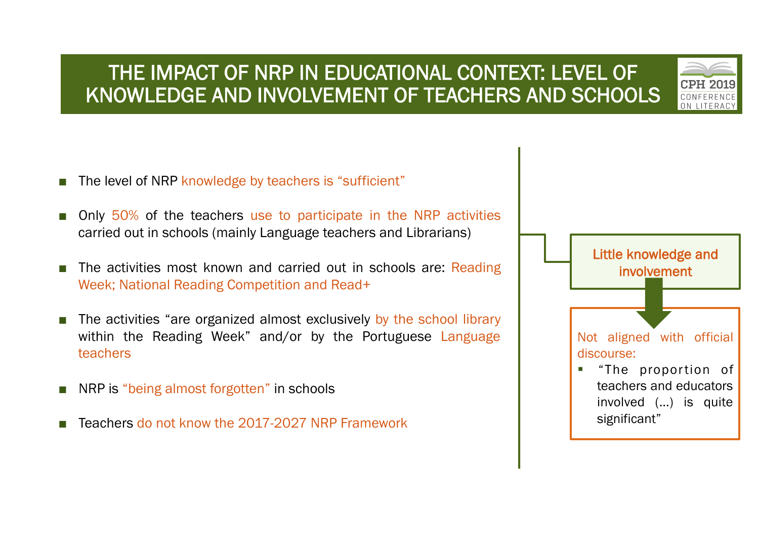## THE IMPACT OF NRP IN EDUCATIONAL CONTEXT: LEVEL OF KNOWLEDGE AND INVOLVEMENT OF TEACHERS AND SCHOOLS



- The level of NRP knowledge by teachers is "sufficient"
- Only 50% of the teachers use to participate in the NRP activities carried out in schools (mainly Language teachers and Librarians)
- The activities most known and carried out in schools are: Reading Week; National Reading Competition and Read+
- The activities "are organized almost exclusively by the school library within the Reading Week" and/or by the Portuguese Language teachers
- NRP is "being almost forgotten" in schools
- Teachers do not know the 2017-2027 NRP Framework

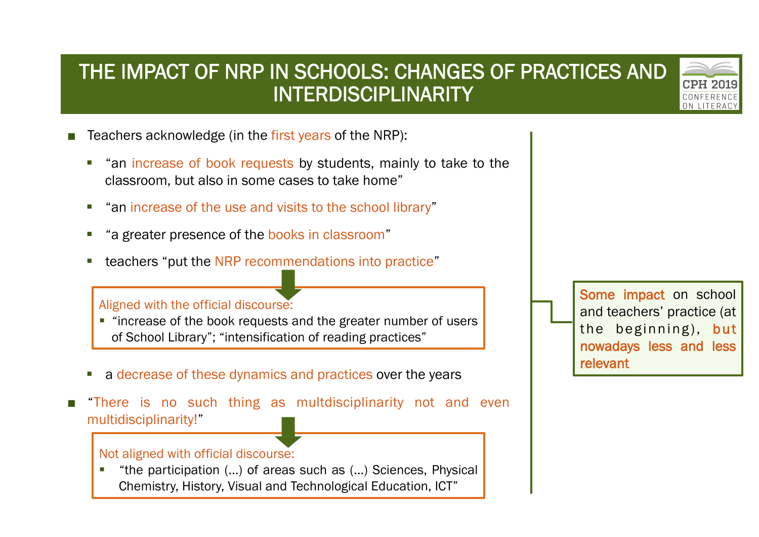## THE IMPACT OF NRP IN SCHOOLS: CHANGES OF PRACTICES AND INTERDISCIPLINARITY



- Teachers acknowledge (in the first years of the NRP):
	- § "an increase of book requests by students, mainly to take to the classroom, but also in some cases to take home"
	- "an increase of the use and visits to the school library"
	- § "a greater presence of the books in classroom"
	- teachers "put the NRP recommendations into practice"

#### Aligned with the official discourse:

- "increase of the book requests and the greater number of users of School Library"; "intensification of reading practices"
- a decrease of these dynamics and practices over the years
- "There is no such thing as multdisciplinarity not and even multidisciplinarity!"

#### Not aligned with official discourse:

§ "the participation (…) of areas such as (…) Sciences, Physical Chemistry, History, Visual and Technological Education, ICT"

Some impact on school and teachers' practice (at the beginning), but nowadays less and less relevant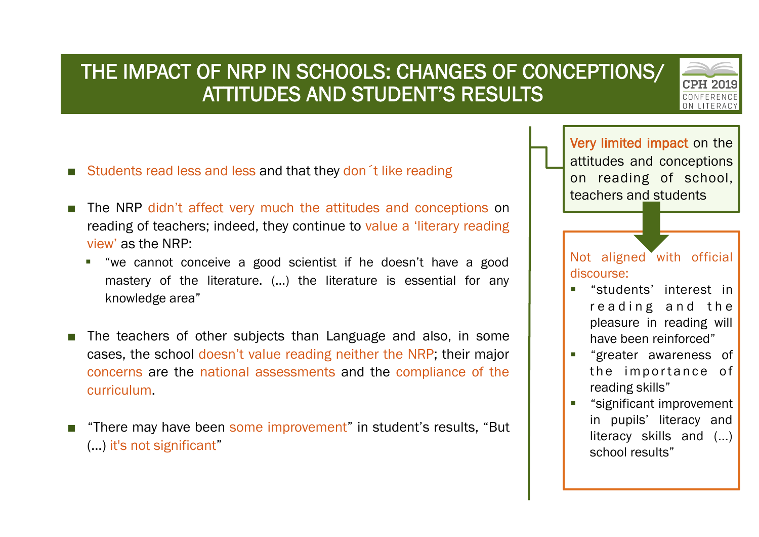## THE IMPACT OF NRP IN SCHOOLS: CHANGES OF CONCEPTIONS/ ATTITUDES AND STUDENT'S RESULTS

- Students read less and less and that they don t like reading
- The NRP didn't affect very much the attitudes and conceptions on reading of teachers; indeed, they continue to value a 'literary reading view' as the NRP:
	- § "we cannot conceive a good scientist if he doesn't have a good mastery of the literature. (…) the literature is essential for any knowledge area"
- The teachers of other subjects than Language and also, in some cases, the school doesn't value reading neither the NRP; their major concerns are the national assessments and the compliance of the curriculum.
- "There may have been some improvement" in student's results, "But (…) it's not significant"



Not aligned with official discourse:

- § "students' interest in reading and the pleasure in reading will have been reinforced"
- § "greater awareness of the importance of reading skills"
- § "significant improvement in pupils' literacy and literacy skills and (...) school results"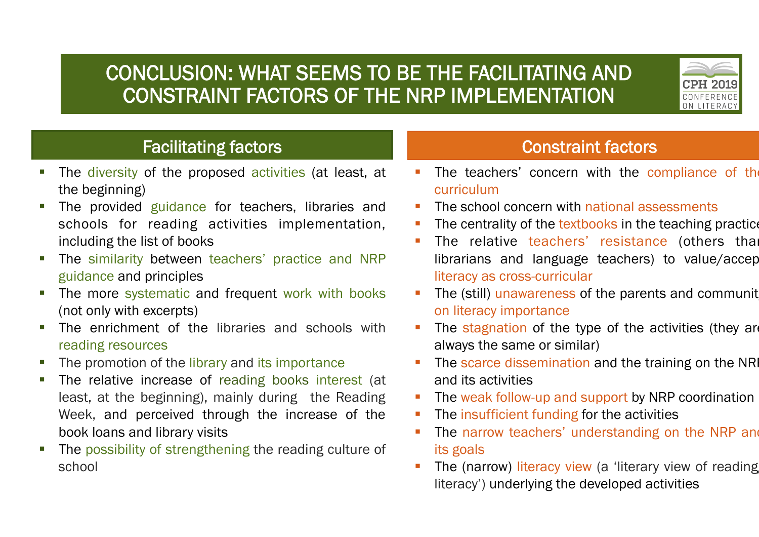## CONCLUSION: WHAT SEEMS TO BE THE FACILITATING AND CONSTRAINT FACTORS OF THE NRP IMPLEMENTATION



## Facilitating factors **Constraint factors**

- The diversity of the proposed activities (at least, at the beginning)
- The provided guidance for teachers, libraries and schools for reading activities implementation, including the list of books
- The similarity between teachers' practice and NRP guidance and principles
- The more systematic and frequent work with books (not only with excerpts)
- The enrichment of the libraries and schools with reading resources
- The promotion of the library and its importance
- The relative increase of reading books interest (at least, at the beginning), mainly during the Reading Week, and perceived through the increase of the book loans and library visits
- The possibility of strengthening the reading culture of school

- The teachers' concern with the compliance of the curriculum
- The school concern with national assessments
- The centrality of the textbooks in the teaching practice
- The relative teachers' resistance (others than librarians and language teachers) to value/accept literacy as cross-curricular
- The (still) unawareness of the parents and community on literacy importance
- The stagnation of the type of the activities (they are always the same or similar)
- The scarce dissemination and the training on the NR and its activities
- The weak follow-up and support by NRP coordination
- The insufficient funding for the activities
- The narrow teachers' understanding on the NRP and its goals
- The (narrow) literacy view (a 'literary view of reading literacy') underlying the developed activities